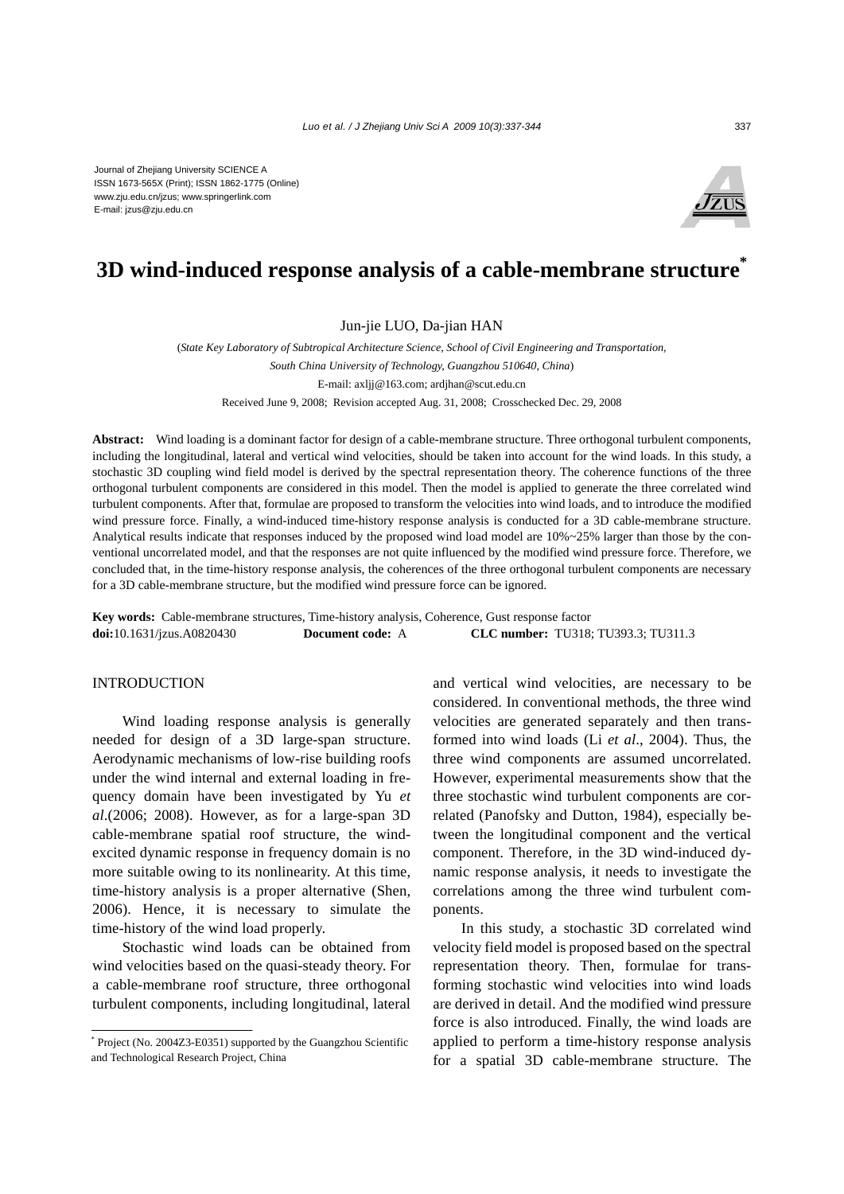

# **3D wind-induced response analysis of a cable-membrane structure\***

Jun-jie LUO, Da-jian HAN

(*State Key Laboratory of Subtropical Architecture Science, School of Civil Engineering and Transportation, South China University of Technology, Guangzhou 510640, China*) E-mail: axljj@163.com; ardjhan@scut.edu.cn Received June 9, 2008; Revision accepted Aug. 31, 2008; Crosschecked Dec. 29, 2008

**Abstract:** Wind loading is a dominant factor for design of a cable-membrane structure. Three orthogonal turbulent components, including the longitudinal, lateral and vertical wind velocities, should be taken into account for the wind loads. In this study, a stochastic 3D coupling wind field model is derived by the spectral representation theory. The coherence functions of the three orthogonal turbulent components are considered in this model. Then the model is applied to generate the three correlated wind turbulent components. After that, formulae are proposed to transform the velocities into wind loads, and to introduce the modified wind pressure force. Finally, a wind-induced time-history response analysis is conducted for a 3D cable-membrane structure. Analytical results indicate that responses induced by the proposed wind load model are 10%~25% larger than those by the conventional uncorrelated model, and that the responses are not quite influenced by the modified wind pressure force. Therefore, we concluded that, in the time-history response analysis, the coherences of the three orthogonal turbulent components are necessary for a 3D cable-membrane structure, but the modified wind pressure force can be ignored.

**Key words:** Cable-membrane structures, Time-history analysis, Coherence, Gust response factor **doi:**10.1631/jzus.A0820430 **Document code:** A **CLC number:** TU318; TU393.3; TU311.3

### INTRODUCTION

Wind loading response analysis is generally needed for design of a 3D large-span structure. Aerodynamic mechanisms of low-rise building roofs under the wind internal and external loading in frequency domain have been investigated by Yu *et al*.(2006; 2008). However, as for a large-span 3D cable-membrane spatial roof structure, the windexcited dynamic response in frequency domain is no more suitable owing to its nonlinearity. At this time, time-history analysis is a proper alternative (Shen, 2006). Hence, it is necessary to simulate the time-history of the wind load properly.

Stochastic wind loads can be obtained from wind velocities based on the quasi-steady theory. For a cable-membrane roof structure, three orthogonal turbulent components, including longitudinal, lateral

\* Project (No. 2004Z3-E0351) supported by the Guangzhou Scientific and Technological Research Project, China

and vertical wind velocities, are necessary to be considered. In conventional methods, the three wind velocities are generated separately and then transformed into wind loads (Li *et al*., 2004). Thus, the three wind components are assumed uncorrelated. However, experimental measurements show that the three stochastic wind turbulent components are correlated (Panofsky and Dutton, 1984), especially between the longitudinal component and the vertical component. Therefore, in the 3D wind-induced dynamic response analysis, it needs to investigate the correlations among the three wind turbulent components.

In this study, a stochastic 3D correlated wind velocity field model is proposed based on the spectral representation theory. Then, formulae for transforming stochastic wind velocities into wind loads are derived in detail. And the modified wind pressure force is also introduced. Finally, the wind loads are applied to perform a time-history response analysis for a spatial 3D cable-membrane structure. The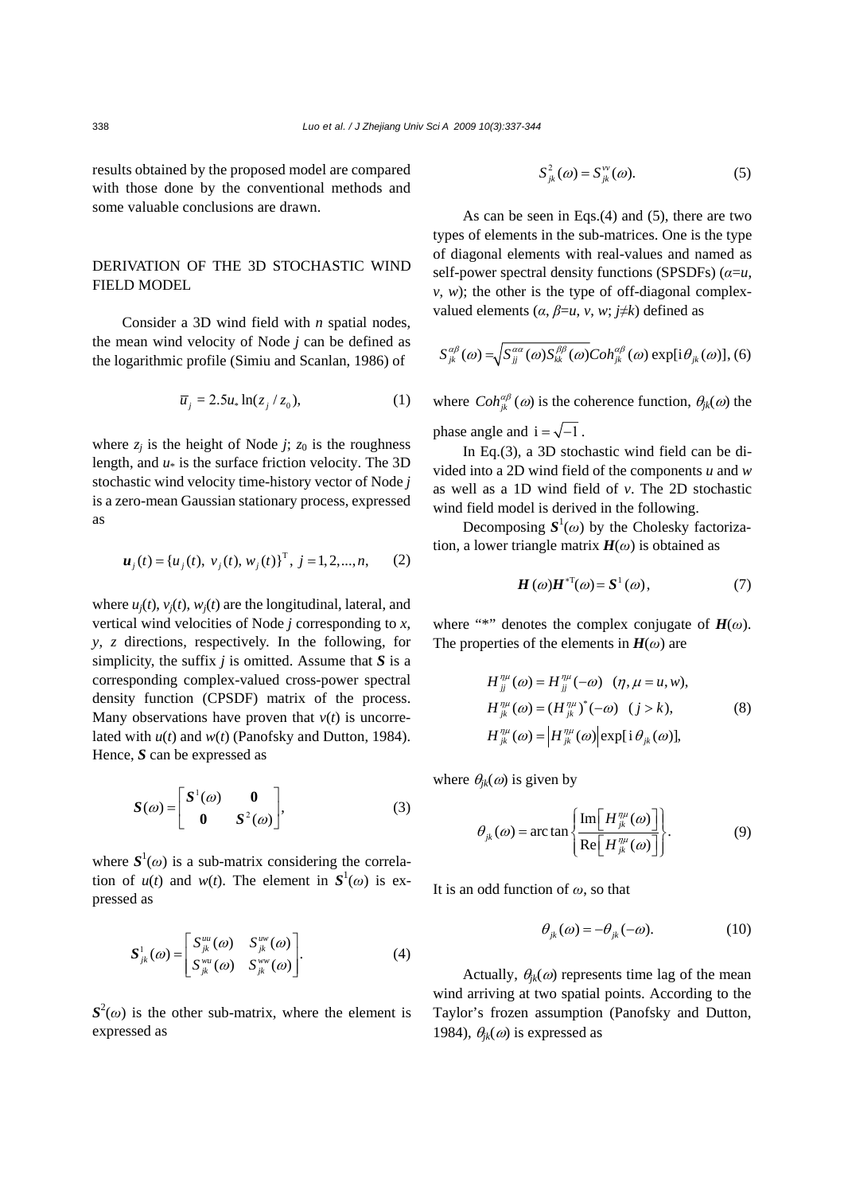results obtained by the proposed model are compared with those done by the conventional methods and some valuable conclusions are drawn.

### DERIVATION OF THE 3D STOCHASTIC WIND FIELD MODEL

Consider a 3D wind field with *n* spatial nodes, the mean wind velocity of Node *j* can be defined as the logarithmic profile (Simiu and Scanlan, 1986) of

$$
\overline{u}_j = 2.5u_* \ln(z_j / z_0), \tag{1}
$$

where  $z_i$  is the height of Node *j*;  $z_0$  is the roughness length, and *u*\* is the surface friction velocity. The 3D stochastic wind velocity time-history vector of Node *j* is a zero-mean Gaussian stationary process, expressed as

$$
\boldsymbol{u}_j(t) = \{u_j(t), v_j(t), w_j(t)\}^\text{T}, j = 1, 2, ..., n,
$$
 (2)

where  $u_i(t)$ ,  $v_i(t)$ ,  $w_i(t)$  are the longitudinal, lateral, and vertical wind velocities of Node *j* corresponding to *x*, *y*, *z* directions, respectively. In the following, for simplicity, the suffix *j* is omitted. Assume that *S* is a corresponding complex-valued cross-power spectral density function (CPSDF) matrix of the process. Many observations have proven that  $v(t)$  is uncorrelated with *u*(*t*) and *w*(*t*) (Panofsky and Dutton, 1984). Hence, *S* can be expressed as

$$
S(\omega) = \begin{bmatrix} S^1(\omega) & \mathbf{0} \\ \mathbf{0} & S^2(\omega) \end{bmatrix},
$$
 (3)

where  $S^1(\omega)$  is a sub-matrix considering the correlation of  $u(t)$  and  $w(t)$ . The element in  $S^1(\omega)$  is expressed as

$$
\mathbf{S}_{jk}^{1}(\omega) = \begin{bmatrix} S_{jk}^{uu}(\omega) & S_{jk}^{uv}(\omega) \\ S_{jk}^{wu}(\omega) & S_{jk}^{ww}(\omega) \end{bmatrix} . \tag{4}
$$

 $S^2(\omega)$  is the other sub-matrix, where the element is expressed as

$$
S_{jk}^2(\omega) = S_{jk}^{\nu\nu}(\omega). \tag{5}
$$

As can be seen in Eqs.(4) and (5), there are two types of elements in the sub-matrices. One is the type of diagonal elements with real-values and named as self-power spectral density functions (SPSDFs) (*α*=*u*,  $v, w$ ); the other is the type of off-diagonal complexvalued elements  $(\alpha, \beta = u, v, w; j \neq k)$  defined as

$$
S_{jk}^{\alpha\beta}(\omega) = \sqrt{S_{jj}^{\alpha\alpha}(\omega)S_{kk}^{\beta\beta}(\omega)}Coh_{jk}^{\alpha\beta}(\omega) \exp[i\theta_{jk}(\omega)],
$$
 (6)

where  $Coh_{jk}^{\alpha\beta}(\omega)$  is the coherence function,  $\theta_{jk}(\omega)$  the phase angle and  $i = \sqrt{-1}$ .

In Eq.(3), a 3D stochastic wind field can be divided into a 2D wind field of the components *u* and *w* as well as a 1D wind field of *v*. The 2D stochastic wind field model is derived in the following.

Decomposing  $S^1(\omega)$  by the Cholesky factorization, a lower triangle matrix  $H(\omega)$  is obtained as

$$
H(\omega)H^{*T}(\omega) = S^1(\omega), \tag{7}
$$

where "\*" denotes the complex conjugate of  $H(\omega)$ . The properties of the elements in  $H(\omega)$  are

$$
H_{jj}^{n\mu}(\omega) = H_{jj}^{n\mu}(-\omega) \quad (\eta, \mu = u, w),
$$
  
\n
$$
H_{jk}^{n\mu}(\omega) = (H_{jk}^{n\mu})^*(-\omega) \quad (j > k),
$$
  
\n
$$
H_{jk}^{n\mu}(\omega) = |H_{jk}^{n\mu}(\omega)| \exp[i \theta_{jk}(\omega)],
$$
\n(8)

where  $\theta_{ik}(\omega)$  is given by

$$
\theta_{jk}(\omega) = \arctan\left\{\frac{\text{Im}\left[H_{jk}^{\eta\mu}(\omega)\right]}{\text{Re}\left[H_{jk}^{\eta\mu}(\omega)\right]}\right\}.
$$
 (9)

It is an odd function of *ω*, so that

$$
\theta_{jk}(\omega) = -\theta_{jk}(-\omega). \tag{10}
$$

Actually,  $\theta_{ik}(\omega)$  represents time lag of the mean wind arriving at two spatial points. According to the Taylor's frozen assumption (Panofsky and Dutton, 1984),  $\theta_{ik}(\omega)$  is expressed as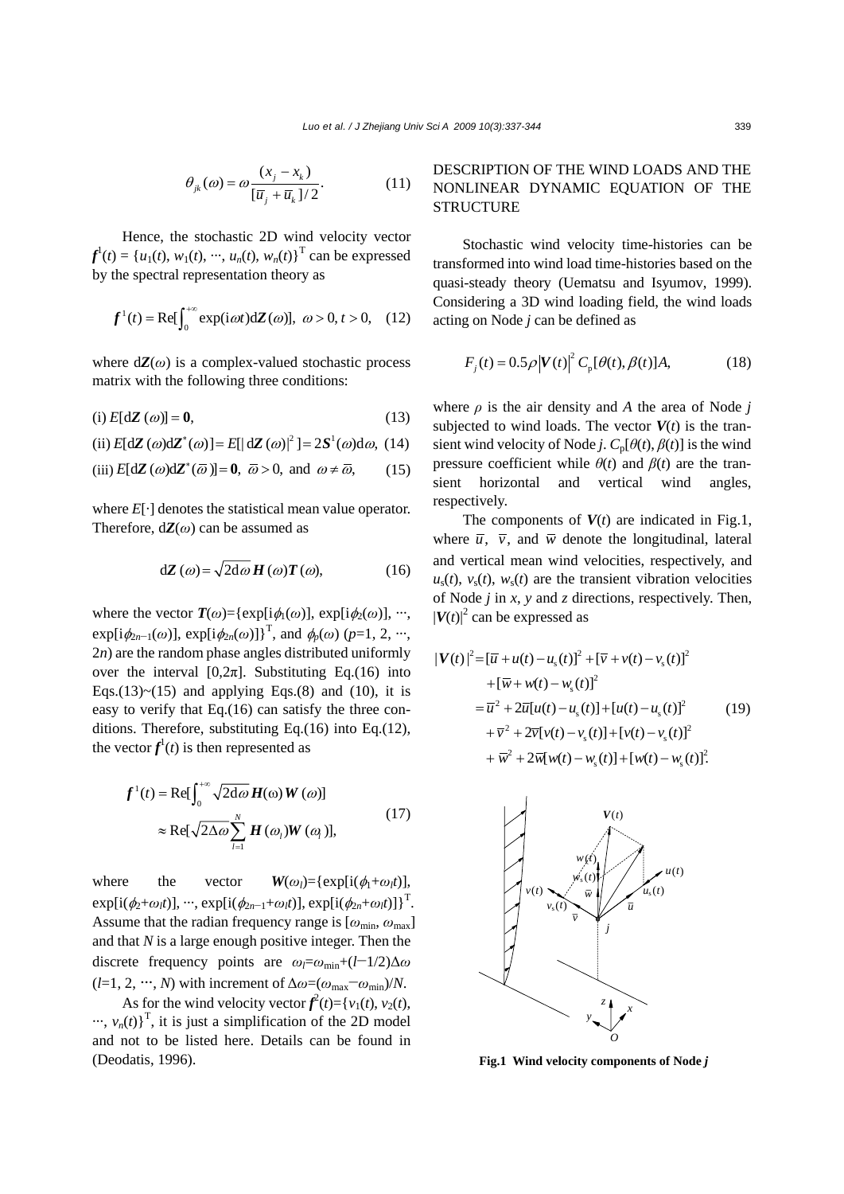$$
\theta_{jk}(\omega) = \omega \frac{(x_j - x_k)}{[\overline{u}_j + \overline{u}_k]/2}.
$$
 (11)

Hence, the stochastic 2D wind velocity vector  $f^1(t) = \{u_1(t), w_1(t), \dots, u_n(t), w_n(t)\}^T$  can be expressed by the spectral representation theory as

$$
f^{1}(t) = \text{Re}[\int_{0}^{+\infty} \exp(i\omega t) d\mathbf{Z}(\omega)], \ \omega > 0, t > 0, \quad (12)
$$

where  $dZ(\omega)$  is a complex-valued stochastic process matrix with the following three conditions:

$$
(i) E[dZ(\omega)] = 0,
$$
\n(13)

(ii) 
$$
E[d\mathbf{Z}(\omega)d\mathbf{Z}^*(\omega)] = E[|\mathrm{d}\mathbf{Z}(\omega)|^2] = 2\mathbf{S}^1(\omega)d\omega
$$
, (14)

(iii) 
$$
E[d\mathbf{Z}(\omega)d\mathbf{Z}^*(\overline{\omega})] = \mathbf{0}, \ \overline{\omega} > 0, \text{ and } \omega \neq \overline{\omega},
$$
 (15)

where *E*[·] denotes the statistical mean value operator. Therefore,  $dZ(\omega)$  can be assumed as

$$
d\mathbf{Z}\left(\omega\right) = \sqrt{2d\omega\mathbf{H}\left(\omega\right)\mathbf{T}\left(\omega\right)},\tag{16}
$$

where the vector  $\mathbf{T}(\omega) = \{ \exp[i\phi_1(\omega)] , \exp[i\phi_2(\omega)] , \cdots, \}$  $\exp[i\phi_{2n-1}(\omega)]$ ,  $\exp[i\phi_{2n}(\omega)]$ <sup>T</sup>, and  $\phi_p(\omega)$  (*p*=1, 2, ···, 2*n*) are the random phase angles distributed uniformly over the interval  $[0,2\pi]$ . Substituting Eq.(16) into Eqs.(13)~(15) and applying Eqs.(8) and (10), it is easy to verify that Eq.(16) can satisfy the three conditions. Therefore, substituting Eq.(16) into Eq.(12), the vector  $f^1(t)$  is then represented as

$$
f^{1}(t) = \text{Re}[\int_{0}^{+\infty} \sqrt{2d\omega} H(\omega) W(\omega)]
$$
  

$$
\approx \text{Re}[\sqrt{2\Delta\omega} \sum_{l=1}^{N} H(\omega_{l}) W(\omega_{l})],
$$
 (17)

where the vector  $W(\omega_l) = {\exp[i(\phi_l + \omega_l t)]}$ ,  $\exp[i(\phi_2 + \omega_l t)], \cdots, \exp[i(\phi_{2n-1} + \omega_l t)], \exp[i(\phi_{2n} + \omega_l t)]^T.$ Assume that the radian frequency range is  $[\omega_{\text{min}}, \omega_{\text{max}}]$ and that *N* is a large enough positive integer. Then the discrete frequency points are  $\omega_l = \omega_{\text{min}} + (l-1/2)\Delta\omega$  $(l=1, 2, \cdots, N)$  with increment of  $\Delta \omega = (\omega_{\text{max}} - \omega_{\text{min}})/N$ .

As for the wind velocity vector  $f^2(t) = \{v_1(t), v_2(t), v_3(t)\}$  $\cdots$ ,  $v_n(t)$ <sup>T</sup>, it is just a simplification of the 2D model and not to be listed here. Details can be found in (Deodatis, 1996).

## DESCRIPTION OF THE WIND LOADS AND THE NONLINEAR DYNAMIC EQUATION OF THE **STRUCTURE**

Stochastic wind velocity time-histories can be transformed into wind load time-histories based on the quasi-steady theory (Uematsu and Isyumov, 1999). Considering a 3D wind loading field, the wind loads acting on Node *j* can be defined as

$$
F_{j}(t) = 0.5\rho |V(t)|^{2} C_{p}[\theta(t), \beta(t)]A,
$$
 (18)

where  $\rho$  is the air density and *A* the area of Node *j* subjected to wind loads. The vector  $V(t)$  is the transient wind velocity of Node *j*.  $C_p[\theta(t), \beta(t)]$  is the wind pressure coefficient while  $\theta(t)$  and  $\beta(t)$  are the transient horizontal and vertical wind angles, respectively.

The components of  $V(t)$  are indicated in Fig.1, where  $\overline{u}$ ,  $\overline{v}$ , and  $\overline{w}$  denote the longitudinal, lateral and vertical mean wind velocities, respectively, and  $u_s(t)$ ,  $v_s(t)$ ,  $w_s(t)$  are the transient vibration velocities of Node *j* in *x*, *y* and *z* directions, respectively. Then,  $|V(t)|^2$  can be expressed as

$$
|\boldsymbol{V}(t)|^2 = [\overline{u} + u(t) - u_s(t)]^2 + [\overline{v} + v(t) - v_s(t)]^2
$$
  
+ 
$$
[\overline{w} + w(t) - w_s(t)]^2
$$
  
= 
$$
\overline{u}^2 + 2\overline{u}[u(t) - u_s(t)] + [u(t) - u_s(t)]^2
$$
  
+ 
$$
\overline{v}^2 + 2\overline{v}[v(t) - v_s(t)] + [v(t) - v_s(t)]^2
$$
  
+ 
$$
\overline{w}^2 + 2\overline{w}[w(t) - w_s(t)] + [w(t) - w_s(t)]^2.
$$
 (19)



**Fig.1 Wind velocity components of Node** *j*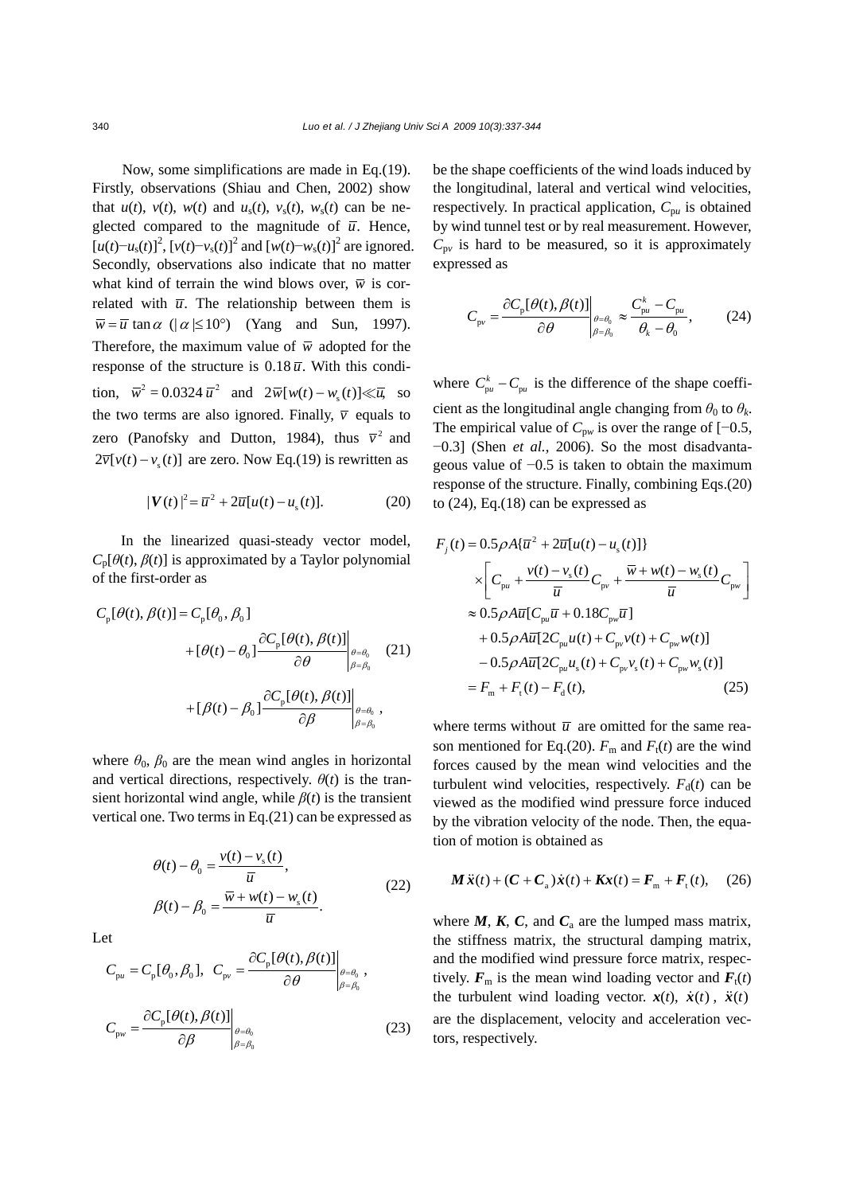Now, some simplifications are made in Eq.(19). Firstly, observations (Shiau and Chen, 2002) show that  $u(t)$ ,  $v(t)$ ,  $w(t)$  and  $u_s(t)$ ,  $v_s(t)$ ,  $w_s(t)$  can be neglected compared to the magnitude of  $\overline{u}$ . Hence,  $[u(t)-u_s(t)]^2$ ,  $[v(t)-v_s(t)]^2$  and  $[w(t)-w_s(t)]^2$  are ignored. Secondly, observations also indicate that no matter what kind of terrain the wind blows over,  $\overline{w}$  is correlated with  $\bar{u}$ . The relationship between them is  $\overline{w} = \overline{u} \tan \alpha$  ( $|\alpha| \le 10^{\circ}$ ) (Yang and Sun, 1997). Therefore, the maximum value of  $\overline{w}$  adopted for the response of the structure is  $0.18 \overline{u}$ . With this condition,  $\bar{w}^2 = 0.0324 \bar{u}^2$  and  $2\bar{w}[w(t) - w_s(t)] \ll \bar{u}$ , so the two terms are also ignored. Finally,  $\overline{v}$  equals to zero (Panofsky and Dutton, 1984), thus  $\overline{v}^2$  and  $2\overline{v}[v(t)-v_s(t)]$  are zero. Now Eq.(19) is rewritten as

$$
|\mathbf{V}(t)|^2 = \overline{u}^2 + 2\overline{u}[u(t) - u_s(t)].
$$
 (20)

In the linearized quasi-steady vector model,  $C_p[\theta(t), \beta(t)]$  is approximated by a Taylor polynomial of the first-order as

$$
C_{p}[\theta(t), \beta(t)] = C_{p}[\theta_{0}, \beta_{0}]
$$
  
+ 
$$
[\theta(t) - \theta_{0}] \frac{\partial C_{p}[\theta(t), \beta(t)]}{\partial \theta} \Big|_{\beta = \beta_{0}} \quad (21)
$$
  
+ 
$$
[\beta(t) - \beta_{0}] \frac{\partial C_{p}[\theta(t), \beta(t)]}{\partial \beta} \Big|_{\beta = \beta_{0}},
$$

where  $\theta_0$ ,  $\beta_0$  are the mean wind angles in horizontal and vertical directions, respectively.  $\theta(t)$  is the transient horizontal wind angle, while  $\beta(t)$  is the transient vertical one. Two terms in Eq.(21) can be expressed as

$$
\theta(t) - \theta_0 = \frac{v(t) - v_s(t)}{\overline{u}},
$$
  

$$
\beta(t) - \beta_0 = \frac{\overline{w} + w(t) - w_s(t)}{\overline{u}}.
$$
 (22)

Let

$$
C_{\text{pu}} = C_{\text{p}}[\theta_0, \beta_0], \quad C_{\text{pv}} = \frac{\partial C_{\text{p}}[\theta(t), \beta(t)]}{\partial \theta} \Big|_{\substack{\theta = \theta_0 \\ \beta = \beta_0}}^{\theta = \theta_0},
$$
\n
$$
C_{\text{pv}} = \frac{\partial C_{\text{p}}[\theta(t), \beta(t)]}{\partial \beta} \Big|_{\substack{\theta = \theta_0 \\ \beta = \beta_0}}^{\theta = \theta_0} \tag{23}
$$

be the shape coefficients of the wind loads induced by the longitudinal, lateral and vertical wind velocities, respectively. In practical application,  $C_{pu}$  is obtained by wind tunnel test or by real measurement. However,  $C_{\text{pv}}$  is hard to be measured, so it is approximately expressed as

$$
C_{\rm pv} = \frac{\partial C_{\rm p}[\theta(t), \beta(t)]}{\partial \theta} \bigg|_{\substack{\theta = \theta_0 \\ \beta = \beta_0}} \approx \frac{C_{\rm pu}^k - C_{\rm pu}}{\theta_k - \theta_0},\tag{24}
$$

where  $C_{\mu}^{k}$  –  $C_{\mu}$  is the difference of the shape coefficient as the longitudinal angle changing from  $\theta_0$  to  $\theta_k$ . The empirical value of  $C_{p*w*}$  is over the range of [−0.5, −0.3] (Shen *et al.*, 2006). So the most disadvantageous value of −0.5 is taken to obtain the maximum response of the structure. Finally, combining Eqs.(20) to  $(24)$ , Eq. $(18)$  can be expressed as

$$
F_j(t) = 0.5\rho A {\overline{u}}^2 + 2\overline{u}[u(t) - u_s(t)]
$$
  
\n
$$
\times \left[ C_{pu} + \frac{v(t) - v_s(t)}{\overline{u}} C_{pv} + \frac{\overline{w} + w(t) - w_s(t)}{\overline{u}} C_{pv} \right]
$$
  
\n
$$
\approx 0.5\rho A \overline{u} [C_{pu} \overline{u} + 0.18 C_{pv} \overline{u}]
$$
  
\n
$$
+ 0.5\rho A \overline{u} [2C_{pu} u(t) + C_{pv} v(t) + C_{pv} w(t)]
$$
  
\n
$$
- 0.5\rho A \overline{u} [2C_{pu} u_s(t) + C_{pv} v_s(t) + C_{pv} w_s(t)]
$$
  
\n
$$
= F_m + F_t(t) - F_d(t),
$$
 (25)

where terms without  $\overline{u}$  are omitted for the same reason mentioned for Eq.(20).  $F_m$  and  $F_t(t)$  are the wind forces caused by the mean wind velocities and the turbulent wind velocities, respectively.  $F_d(t)$  can be viewed as the modified wind pressure force induced by the vibration velocity of the node. Then, the equation of motion is obtained as

$$
\mathbf{M}\ddot{\mathbf{x}}(t) + (\mathbf{C} + \mathbf{C}_{a})\dot{\mathbf{x}}(t) + \mathbf{K}\mathbf{x}(t) = \mathbf{F}_{m} + \mathbf{F}_{t}(t), \quad (26)
$$

where  $M$ ,  $K$ ,  $C$ , and  $C<sub>a</sub>$  are the lumped mass matrix, the stiffness matrix, the structural damping matrix, and the modified wind pressure force matrix, respectively.  $F_m$  is the mean wind loading vector and  $F_t(t)$ the turbulent wind loading vector.  $\dot{x}(t)$ ,  $\dot{x}(t)$ ,  $\ddot{x}(t)$ are the displacement, velocity and acceleration vectors, respectively.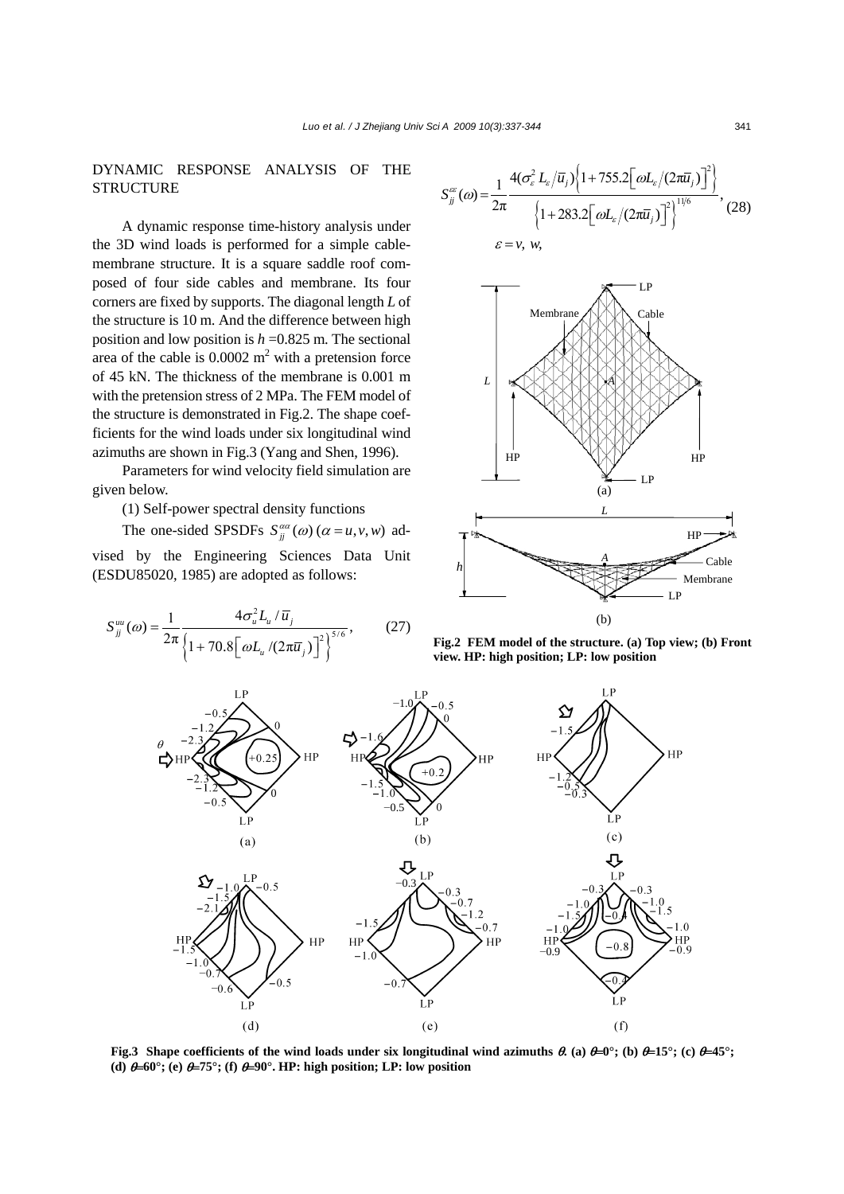### DYNAMIC RESPONSE ANALYSIS OF THE **STRUCTURE**

A dynamic response time-history analysis under the 3D wind loads is performed for a simple cablemembrane structure. It is a square saddle roof composed of four side cables and membrane. Its four corners are fixed by supports. The diagonal length *L* of the structure is 10 m. And the difference between high position and low position is *h* =0.825 m. The sectional area of the cable is  $0.0002 \text{ m}^2$  with a pretension force of 45 kN. The thickness of the membrane is 0.001 m with the pretension stress of 2 MPa. The FEM model of the structure is demonstrated in Fig.2. The shape coefficients for the wind loads under six longitudinal wind azimuths are shown in Fig.3 (Yang and Shen, 1996).

Parameters for wind velocity field simulation are given below.

(1) Self-power spectral density functions

The one-sided SPSDFs  $S_{ii}^{\alpha\alpha}(\omega)$  ( $\alpha = u, v, w$ ) advised by the Engineering Sciences Data Unit (ESDU85020, 1985) are adopted as follows:

$$
S_{jj}^{uu}(\omega) = \frac{1}{2\pi} \frac{4\sigma_u^2 L_u / \bar{u}_j}{\left\{1 + 70.8\left[\omega L_u / (2\pi \bar{u}_j)\right]^2\right\}^{5/6}},\tag{27}
$$

$$
S_{jj}^{\infty}(\omega) = \frac{1}{2\pi} \frac{4(\sigma_{\varepsilon}^2 L_{\varepsilon}/\overline{u}_j) \left\{1 + 755.2\left[\omega L_{\varepsilon}/(2\pi\overline{u}_j)\right]^2\right\}}{\left\{1 + 283.2\left[\omega L_{\varepsilon}/(2\pi\overline{u}_j)\right]^2\right\}^{11/6}},
$$
 (28)  

$$
\varepsilon = v, w,
$$



**Fig.2 FEM model of the structure. (a) Top view; (b) Front view. HP: high position; LP: low position**



**Fig.3** Shape coefficients of the wind loads under six longitudinal wind azimuths  $\theta$ , (a)  $\theta = 0^\circ$ ; (b)  $\theta = 15^\circ$ ; (c)  $\theta = 45^\circ$ ; **(d)**  $\theta = 60^\circ$ ; (e)  $\theta = 75^\circ$ ; (f)  $\theta = 90^\circ$ . HP: high position; LP: low position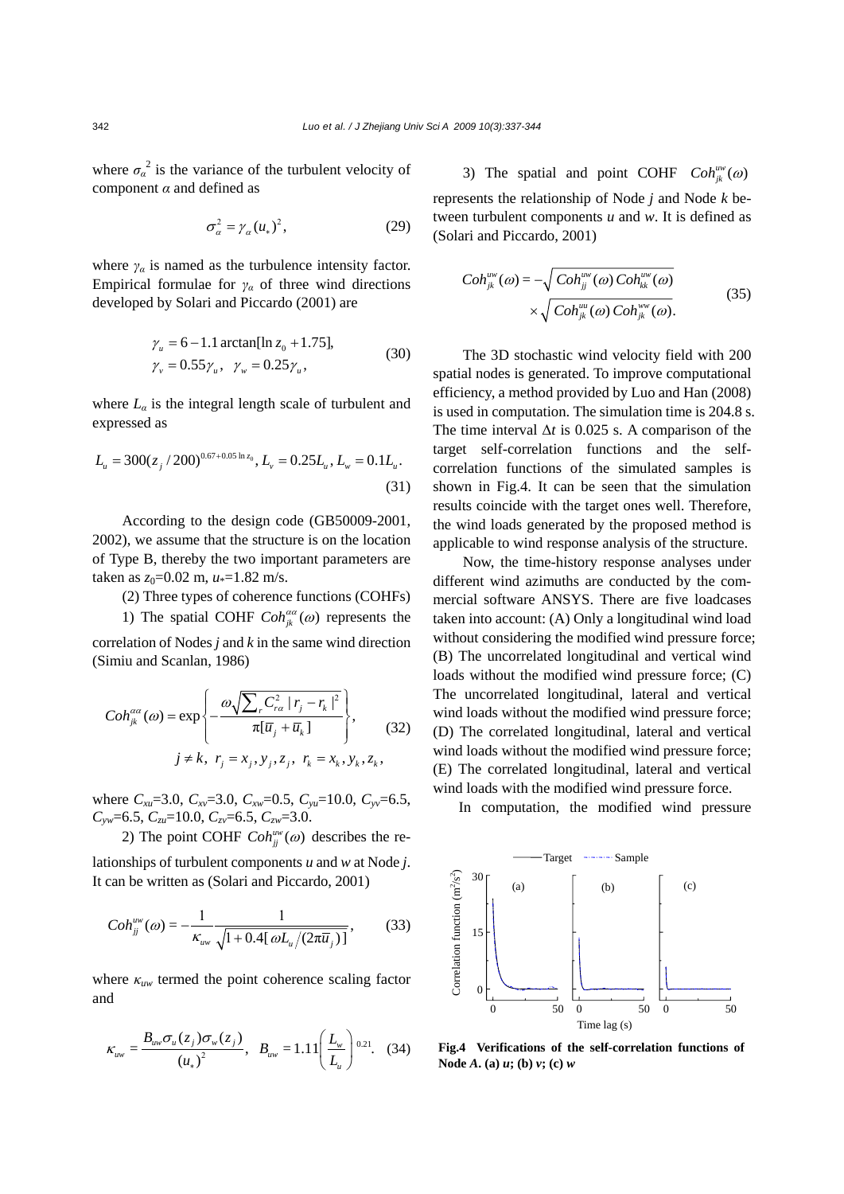where  $\sigma_{\alpha}^{2}$  is the variance of the turbulent velocity of component *α* and defined as

$$
\sigma_{\alpha}^{2} = \gamma_{\alpha} (u_{*})^{2}, \qquad (29)
$$

where  $\gamma_a$  is named as the turbulence intensity factor. Empirical formulae for  $\gamma_\alpha$  of three wind directions developed by Solari and Piccardo (2001) are

$$
\gamma_u = 6 - 1.1 \arctan[\ln z_0 + 1.75],
$$
  
\n
$$
\gamma_v = 0.55 \gamma_u, \quad \gamma_w = 0.25 \gamma_u,
$$
\n(30)

where  $L_{\alpha}$  is the integral length scale of turbulent and expressed as

$$
L_{u} = 300(z_{j}/200)^{0.67+0.05 \ln z_{0}}, L_{v} = 0.25L_{u}, L_{w} = 0.1L_{u}.
$$
\n(31)

According to the design code (GB50009-2001, 2002), we assume that the structure is on the location of Type B, thereby the two important parameters are taken as  $z_0$ =0.02 m,  $u$ <sup>\*</sup>=1.82 m/s.

(2) Three types of coherence functions (COHFs)

1) The spatial COHF  $Coh_{jk}^{a\alpha}(\omega)$  represents the correlation of Nodes *j* and *k* in the same wind direction (Simiu and Scanlan, 1986)

$$
Coh_{jk}^{aa}(\omega) = \exp\left\{-\frac{\omega\sqrt{\sum_{r} C_{ra}^{2} |r_{j} - r_{k}|^{2}}}{\pi[\overline{u}_{j} + \overline{u}_{k}]} \right\},\qquad(32)
$$

$$
j \neq k, r_{j} = x_{j}, y_{j}, z_{j}, r_{k} = x_{k}, y_{k}, z_{k},
$$

where *Cxu*=3.0, *Cxv*=3.0, *Cxw*=0.5, *Cyu*=10.0, *Cyv*=6.5, *Cyw*=6.5, *Czu*=10.0, *Czv*=6.5, *Czw*=3.0.

2) The point COHF  $Coh_{ii}^{uw}(\omega)$  describes the re-

lationships of turbulent components *u* and *w* at Node *j*. It can be written as (Solari and Piccardo, 2001)

$$
Coh_{jj}^{uw}(\omega) = -\frac{1}{\kappa_{uvw} \sqrt{1 + 0.4[\omega L_u/(2\pi \overline{u}_j)]}},
$$
(33)

where *κuw* termed the point coherence scaling factor and

$$
\kappa_{uw} = \frac{B_{uw}\sigma_u(z_j)\sigma_w(z_j)}{(u_*)^2}, \quad B_{uw} = 1.11\left(\frac{L_w}{L_u}\right)^{0.21}.
$$
 (34)

3) The spatial and point COHF  $Coh_{jk}^{uw}(\omega)$ represents the relationship of Node *j* and Node *k* between turbulent components *u* and *w*. It is defined as (Solari and Piccardo, 2001)

$$
Coh_{jk}^{uw}(\omega) = -\sqrt{Coh_{jj}^{uw}(\omega) Coh_{kk}^{uw}(\omega)}
$$

$$
\times \sqrt{Coh_{jk}^{uu}(\omega) Coh_{jk}^{ww}(\omega)}.
$$
 (35)

The 3D stochastic wind velocity field with 200 spatial nodes is generated. To improve computational efficiency, a method provided by Luo and Han (2008) is used in computation. The simulation time is 204.8 s. The time interval  $\Delta t$  is 0.025 s. A comparison of the target self-correlation functions and the selfcorrelation functions of the simulated samples is shown in Fig.4. It can be seen that the simulation results coincide with the target ones well. Therefore, the wind loads generated by the proposed method is applicable to wind response analysis of the structure.

Now, the time-history response analyses under different wind azimuths are conducted by the commercial software ANSYS. There are five loadcases taken into account: (A) Only a longitudinal wind load without considering the modified wind pressure force; (B) The uncorrelated longitudinal and vertical wind loads without the modified wind pressure force; (C) The uncorrelated longitudinal, lateral and vertical wind loads without the modified wind pressure force; (D) The correlated longitudinal, lateral and vertical wind loads without the modified wind pressure force; (E) The correlated longitudinal, lateral and vertical wind loads with the modified wind pressure force.

In computation, the modified wind pressure



**Fig.4 Verifications of the self-correlation functions of**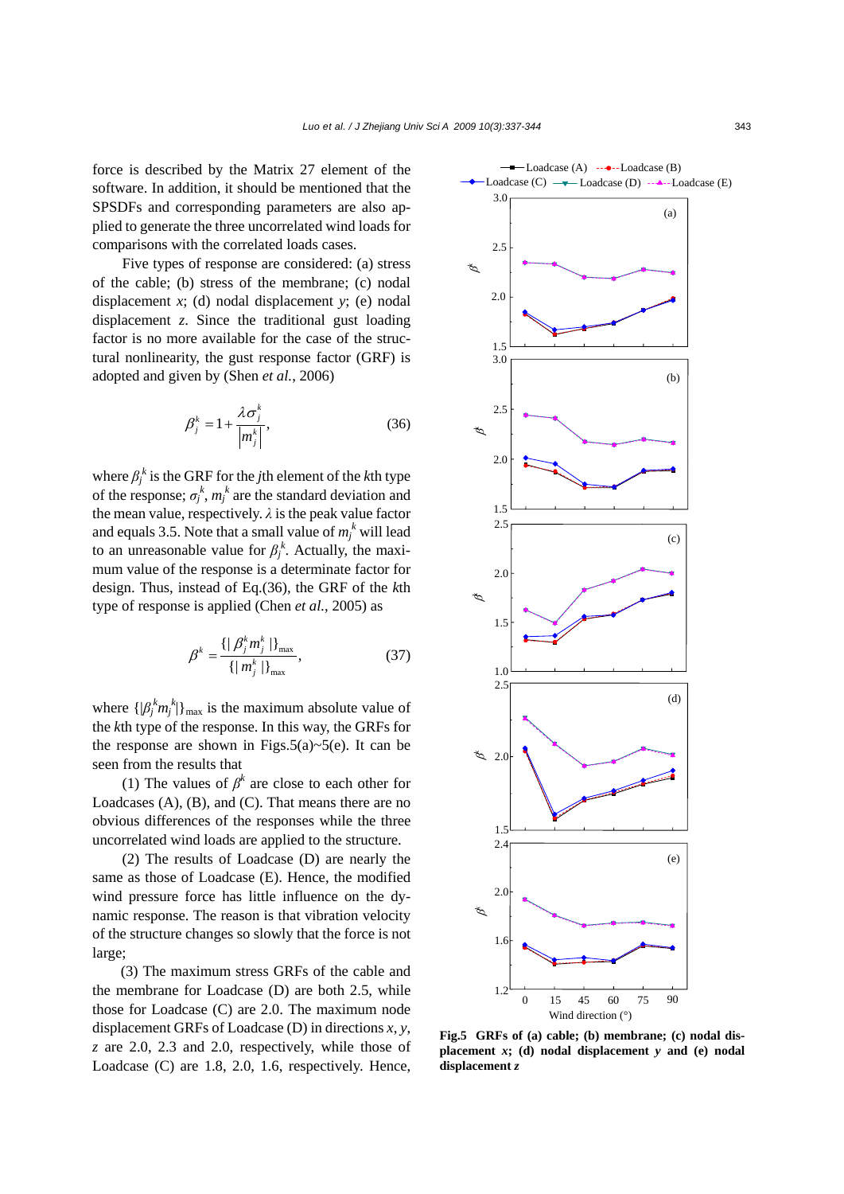force is described by the Matrix 27 element of the software. In addition, it should be mentioned that the SPSDFs and corresponding parameters are also applied to generate the three uncorrelated wind loads for comparisons with the correlated loads cases.

Five types of response are considered: (a) stress of the cable; (b) stress of the membrane; (c) nodal displacement *x*; (d) nodal displacement *y*; (e) nodal displacement *z*. Since the traditional gust loading factor is no more available for the case of the structural nonlinearity, the gust response factor (GRF) is adopted and given by (Shen *et al.*, 2006)

$$
\beta_j^k = 1 + \frac{\lambda \sigma_j^k}{\left|m_j^k\right|},\tag{36}
$$

where  $\beta_j^k$  is the GRF for the *j*th element of the *k*th type of the response;  $\sigma_j^k$ ,  $m_j^k$  are the standard deviation and the mean value, respectively.  $\lambda$  is the peak value factor and equals 3.5. Note that a small value of  $m_j^k$  will lead to an unreasonable value for  $\beta_j^k$ . Actually, the maximum value of the response is a determinate factor for design. Thus, instead of Eq.(36), the GRF of the *k*th type of response is applied (Chen *et al.*, 2005) as

$$
\beta^k = \frac{\{|\beta_j^k m_j^k|\}_{\max}}{\{ |m_j^k|\}_{\max}},
$$
\n(37)

where  $\{\beta_j^k m_j^k\}$ <sub>max</sub> is the maximum absolute value of the *k*th type of the response. In this way, the GRFs for the response are shown in Figs.5(a) $\sim$ 5(e). It can be seen from the results that

(1) The values of  $\beta^k$  are close to each other for Loadcases (A), (B), and (C). That means there are no obvious differences of the responses while the three uncorrelated wind loads are applied to the structure.

(2) The results of Loadcase (D) are nearly the same as those of Loadcase (E). Hence, the modified wind pressure force has little influence on the dynamic response. The reason is that vibration velocity of the structure changes so slowly that the force is not large;

(3) The maximum stress GRFs of the cable and the membrane for Loadcase (D) are both 2.5, while those for Loadcase (C) are 2.0. The maximum node displacement GRFs of Loadcase (D) in directions *x*, *y*, *z* are 2.0, 2.3 and 2.0, respectively, while those of Loadcase (C) are 1.8, 2.0, 1.6, respectively. Hence,



**Fig.5 GRFs of (a) cable; (b) membrane; (c) nodal displacement** *x***; (d) nodal displacement** *y* **and (e) nodal displacement** *z*